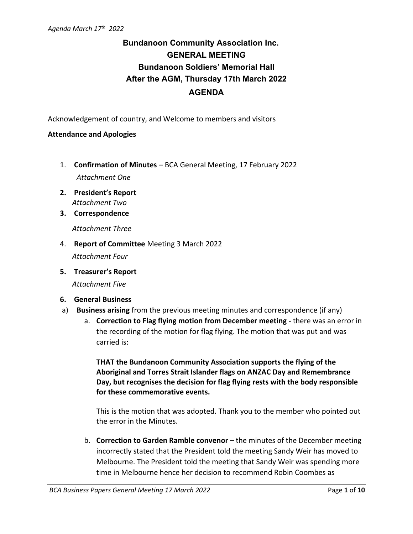## **Bundanoon Community Association Inc. GENERAL MEETING Bundanoon Soldiers' Memorial Hall After the AGM, Thursday 17th March 2022 AGENDA**

Acknowledgement of country, and Welcome to members and visitors

#### **Attendance and Apologies**

- 1. **Confirmation of Minutes** BCA General Meeting, 17 February 2022 *Attachment One*
- **2. President's Report** *Attachment Two*
- **3. Correspondence**

*Attachment Three*

4. **Report of Committee** Meeting 3 March 2022

*Attachment Four*

**5. Treasurer's Report**

*Attachment Five*

#### **6. General Business**

- a) **Business arising** from the previous meeting minutes and correspondence (if any)
	- a. **Correction to Flag flying motion from December meeting -** there was an error in the recording of the motion for flag flying. The motion that was put and was carried is:

**THAT the Bundanoon Community Association supports the flying of the Aboriginal and Torres Strait Islander flags on ANZAC Day and Remembrance Day, but recognises the decision for flag flying rests with the body responsible for these commemorative events.** 

This is the motion that was adopted. Thank you to the member who pointed out the error in the Minutes.

b. **Correction to Garden Ramble convenor** – the minutes of the December meeting incorrectly stated that the President told the meeting Sandy Weir has moved to Melbourne. The President told the meeting that Sandy Weir was spending more time in Melbourne hence her decision to recommend Robin Coombes as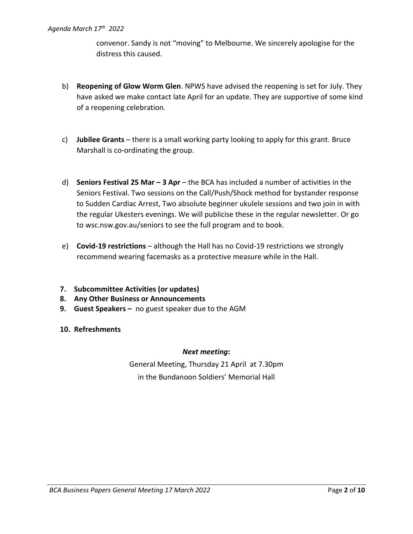convenor. Sandy is not "moving" to Melbourne. We sincerely apologise for the distress this caused.

- b) **Reopening of Glow Worm Glen**. NPWS have advised the reopening is set for July. They have asked we make contact late April for an update. They are supportive of some kind of a reopening celebration.
- c) **Jubilee Grants** there is a small working party looking to apply for this grant. Bruce Marshall is co-ordinating the group.
- d) **Seniors Festival 25 Mar – 3 Apr** the BCA has included a number of activities in the Seniors Festival. Two sessions on the Call/Push/Shock method for bystander response to Sudden Cardiac Arrest, Two absolute beginner ukulele sessions and two join in with the regular Ukesters evenings. We will publicise these in the regular newsletter. Or go to wsc.nsw.gov.au/seniors to see the full program and to book.
- e) **Covid-19 restrictions** although the Hall has no Covid-19 restrictions we strongly recommend wearing facemasks as a protective measure while in the Hall.
- **7. Subcommittee Activities (or updates)**
- **8. Any Other Business or Announcements**
- **9. Guest Speakers –** no guest speaker due to the AGM
- **10. Refreshments**

#### *Next meeting***:**

General Meeting, Thursday 21 April at 7.30pm in the Bundanoon Soldiers' Memorial Hall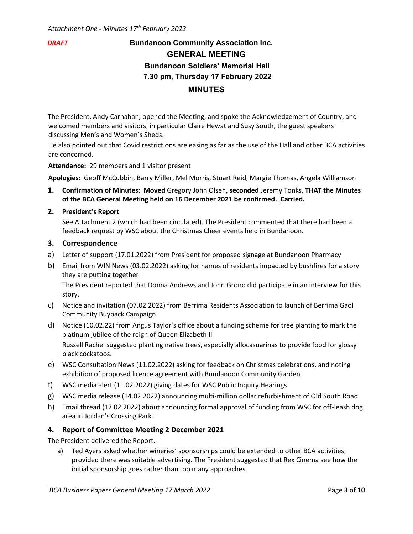### *DRAFT* **Bundanoon Community Association Inc. GENERAL MEETING Bundanoon Soldiers' Memorial Hall 7.30 pm, Thursday 17 February 2022 MINUTES**

The President, Andy Carnahan, opened the Meeting, and spoke the Acknowledgement of Country, and welcomed members and visitors, in particular Claire Hewat and Susy South, the guest speakers discussing Men's and Women's Sheds.

He also pointed out that Covid restrictions are easing as far as the use of the Hall and other BCA activities are concerned.

**Attendance:** 29 members and 1 visitor present

**Apologies:** Geoff McCubbin, Barry Miller, Mel Morris, Stuart Reid, Margie Thomas, Angela Williamson

- **1. Confirmation of Minutes: Moved** Gregory John Olsen**, seconded** Jeremy Tonks, **THAT the Minutes of the BCA General Meeting held on 16 December 2021 be confirmed. Carried.**
- **2. President's Report**

See Attachment 2 (which had been circulated). The President commented that there had been a feedback request by WSC about the Christmas Cheer events held in Bundanoon.

#### **3. Correspondence**

- a) Letter of support (17.01.2022) from President for proposed signage at Bundanoon Pharmacy
- b) Email from WIN News (03.02.2022) asking for names of residents impacted by bushfires for a story they are putting together

The President reported that Donna Andrews and John Grono did participate in an interview for this story.

- c) Notice and invitation (07.02.2022) from Berrima Residents Association to launch of Berrima Gaol Community Buyback Campaign
- d) Notice (10.02.22) from Angus Taylor's office about a funding scheme for tree planting to mark the platinum jubilee of the reign of Queen Elizabeth II Russell Rachel suggested planting native trees, especially allocasuarinas to provide food for glossy black cockatoos.
- e) WSC Consultation News (11.02.2022) asking for feedback on Christmas celebrations, and noting exhibition of proposed licence agreement with Bundanoon Community Garden
- f) WSC media alert (11.02.2022) giving dates for WSC Public Inquiry Hearings
- g) WSC media release (14.02.2022) announcing multi-million dollar refurbishment of Old South Road
- h) Email thread (17.02.2022) about announcing formal approval of funding from WSC for off-leash dog area in Jordan's Crossing Park

#### **4. Report of Committee Meeting 2 December 2021**

The President delivered the Report.

a) Ted Ayers asked whether wineries' sponsorships could be extended to other BCA activities, provided there was suitable advertising. The President suggested that Rex Cinema see how the initial sponsorship goes rather than too many approaches.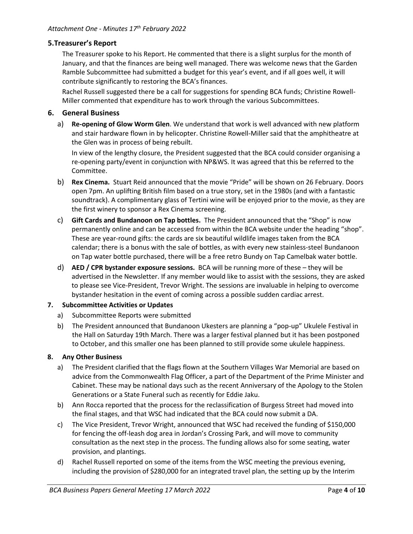### **5.Treasurer's Report**

The Treasurer spoke to his Report. He commented that there is a slight surplus for the month of January, and that the finances are being well managed. There was welcome news that the Garden Ramble Subcommittee had submitted a budget for this year's event, and if all goes well, it will contribute significantly to restoring the BCA's finances.

Rachel Russell suggested there be a call for suggestions for spending BCA funds; Christine Rowell-Miller commented that expenditure has to work through the various Subcommittees.

#### **6. General Business**

a) **Re-opening of Glow Worm Glen**. We understand that work is well advanced with new platform and stair hardware flown in by helicopter. Christine Rowell-Miller said that the amphitheatre at the Glen was in process of being rebuilt.

In view of the lengthy closure, the President suggested that the BCA could consider organising a re-opening party/event in conjunction with NP&WS. It was agreed that this be referred to the Committee.

- b) **Rex Cinema.** Stuart Reid announced that the movie "Pride" will be shown on 26 February. Doors open 7pm. An uplifting British film based on a true story, set in the 1980s (and with a fantastic soundtrack). A complimentary glass of Tertini wine will be enjoyed prior to the movie, as they are the first winery to sponsor a Rex Cinema screening.
- c) **Gift Cards and Bundanoon on Tap bottles.** The President announced that the "Shop" is now permanently online and can be accessed from within the BCA website under the heading "shop". These are year-round gifts: the cards are six beautiful wildlife images taken from the BCA calendar; there is a bonus with the sale of bottles, as with every new stainless-steel Bundanoon on Tap water bottle purchased, there will be a free retro Bundy on Tap Camelbak water bottle.
- d) **AED / CPR bystander exposure sessions.** BCA will be running more of these they will be advertised in the Newsletter. If any member would like to assist with the sessions, they are asked to please see Vice-President, Trevor Wright. The sessions are invaluable in helping to overcome bystander hesitation in the event of coming across a possible sudden cardiac arrest.

#### **7. Subcommittee Activities or Updates**

- a) Subcommittee Reports were submitted
- b) The President announced that Bundanoon Ukesters are planning a "pop-up" Ukulele Festival in the Hall on Saturday 19th March. There was a larger festival planned but it has been postponed to October, and this smaller one has been planned to still provide some ukulele happiness.

#### **8. Any Other Business**

- a) The President clarified that the flags flown at the Southern Villages War Memorial are based on advice from the Commonwealth Flag Officer, a part of the Department of the Prime Minister and Cabinet. These may be national days such as the recent Anniversary of the Apology to the Stolen Generations or a State Funeral such as recently for Eddie Jaku.
- b) Ann Rocca reported that the process for the reclassification of Burgess Street had moved into the final stages, and that WSC had indicated that the BCA could now submit a DA.
- c) The Vice President, Trevor Wright, announced that WSC had received the funding of \$150,000 for fencing the off-leash dog area in Jordan's Crossing Park, and will move to community consultation as the next step in the process. The funding allows also for some seating, water provision, and plantings.
- d) Rachel Russell reported on some of the items from the WSC meeting the previous evening, including the provision of \$280,000 for an integrated travel plan, the setting up by the Interim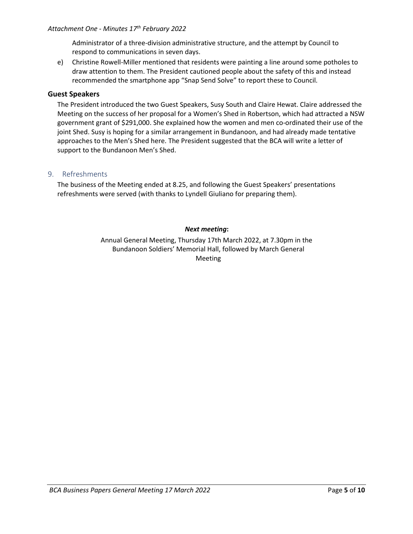#### *Attachment One - Minutes 17 th February 2022*

Administrator of a three-division administrative structure, and the attempt by Council to respond to communications in seven days.

e) Christine Rowell-Miller mentioned that residents were painting a line around some potholes to draw attention to them. The President cautioned people about the safety of this and instead recommended the smartphone app "Snap Send Solve" to report these to Council.

#### **Guest Speakers**

The President introduced the two Guest Speakers, Susy South and Claire Hewat. Claire addressed the Meeting on the success of her proposal for a Women's Shed in Robertson, which had attracted a NSW government grant of \$291,000. She explained how the women and men co-ordinated their use of the joint Shed. Susy is hoping for a similar arrangement in Bundanoon, and had already made tentative approaches to the Men's Shed here. The President suggested that the BCA will write a letter of support to the Bundanoon Men's Shed.

#### 9. Refreshments

The business of the Meeting ended at 8.25, and following the Guest Speakers' presentations refreshments were served (with thanks to Lyndell Giuliano for preparing them).

#### *Next meeting***:**

Annual General Meeting, Thursday 17th March 2022, at 7.30pm in the Bundanoon Soldiers' Memorial Hall, followed by March General Meeting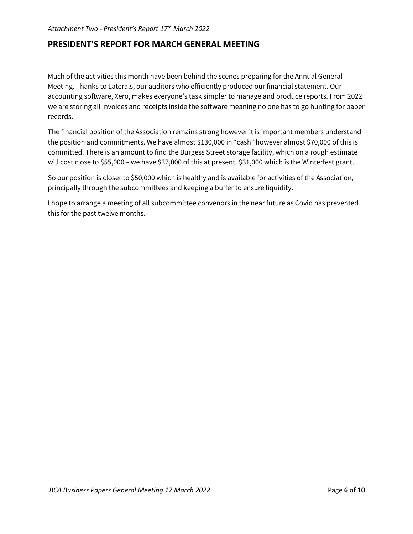### **PRESIDENT'S REPORT FOR MARCH GENERAL MEETING**

Much of the activities this month have been behind the scenes preparing for the Annual General Meeting. Thanks to Laterals, our auditors who efficiently produced our financial statement. Our accounting software, Xero, makes everyone's task simpler to manage and produce reports. From 2022 we are storing all invoices and receipts inside the software meaning no one has to go hunting for paper records.

The financial position of the Association remains strong however it is important members understand the position and commitments. We have almost \$130,000 in "cash" however almost \$70,000 of this is committed. There is an amount to find the Burgess Street storage facility, which on a rough estimate will cost close to \$55,000 – we have \$37,000 of this at present. \$31,000 which is the Winterfest grant.

So our position is closer to \$50,000 which is healthy and is available for activities of the Association, principally through the subcommittees and keeping a buffer to ensure liquidity.

I hope to arrange a meeting of all subcommittee convenors in the near future as Covid has prevented this for the past twelve months.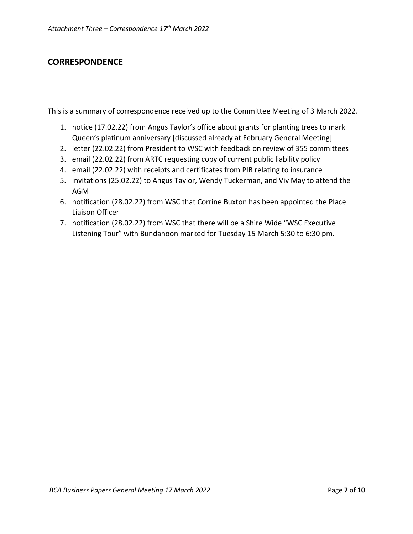### **CORRESPONDENCE**

This is a summary of correspondence received up to the Committee Meeting of 3 March 2022.

- 1. notice (17.02.22) from Angus Taylor's office about grants for planting trees to mark Queen's platinum anniversary [discussed already at February General Meeting]
- 2. letter (22.02.22) from President to WSC with feedback on review of 355 committees
- 3. email (22.02.22) from ARTC requesting copy of current public liability policy
- 4. email (22.02.22) with receipts and certificates from PIB relating to insurance
- 5. invitations (25.02.22) to Angus Taylor, Wendy Tuckerman, and Viv May to attend the AGM
- 6. notification (28.02.22) from WSC that Corrine Buxton has been appointed the Place Liaison Officer
- 7. notification (28.02.22) from WSC that there will be a Shire Wide "WSC Executive Listening Tour" with Bundanoon marked for Tuesday 15 March 5:30 to 6:30 pm.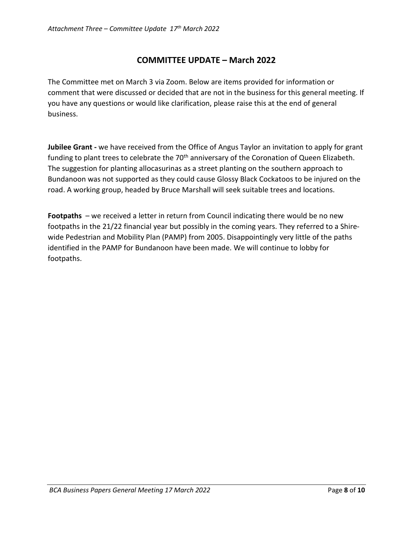### **COMMITTEE UPDATE – March 2022**

The Committee met on March 3 via Zoom. Below are items provided for information or comment that were discussed or decided that are not in the business for this general meeting. If you have any questions or would like clarification, please raise this at the end of general business.

**Jubilee Grant -** we have received from the Office of Angus Taylor an invitation to apply for grant funding to plant trees to celebrate the 70<sup>th</sup> anniversary of the Coronation of Queen Elizabeth. The suggestion for planting allocasurinas as a street planting on the southern approach to Bundanoon was not supported as they could cause Glossy Black Cockatoos to be injured on the road. A working group, headed by Bruce Marshall will seek suitable trees and locations.

**Footpaths** – we received a letter in return from Council indicating there would be no new footpaths in the 21/22 financial year but possibly in the coming years. They referred to a Shirewide Pedestrian and Mobility Plan (PAMP) from 2005. Disappointingly very little of the paths identified in the PAMP for Bundanoon have been made. We will continue to lobby for footpaths.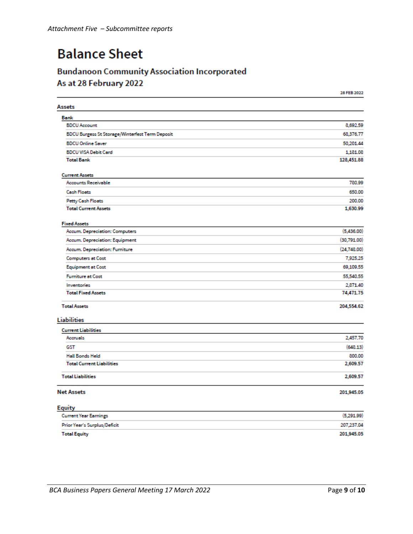# **Balance Sheet**

## **Bundanoon Community Association Incorporated** As at 28 February 2022

|                                                 | 28 FEB 2022 |
|-------------------------------------------------|-------------|
| <b>Assets</b>                                   |             |
| Bank                                            |             |
| <b>BDCU Account</b>                             | 8,692.59    |
| BDCU Burgess St Storage/Winterfest Term Deposit | 68,376.77   |
| <b>BDCU Online Saver</b>                        | 50,201.44   |
| <b>BDCU VISA Debit Card</b>                     | 1,181.08    |
| <b>Total Bank</b>                               | 128,451.88  |
| <b>Current Assets</b>                           |             |
| <b>Accounts Receivable</b>                      | 780.99      |
| <b>Cash Floats</b>                              | 650.00      |
| Petty Cash Floats                               | 200.00      |
| <b>Total Current Assets</b>                     | 1,630.99    |
| <b>Fixed Assets</b>                             |             |
| Accum. Depreciation: Computers                  | (5,436.00)  |
| Accum. Depreciation: Equipment                  | (30,791.00) |
| Accum. Depreciation: Furniture                  | (24,748.00) |
| <b>Computers at Cost</b>                        | 7,925.25    |
| <b>Equipment at Cost</b>                        | 69,109.55   |
| <b>Furniture at Cost</b>                        | 55,540.55   |
| <b>Inventories</b>                              | 2,871.40    |
| <b>Total Fixed Assets</b>                       | 74,471.75   |
| <b>Total Assets</b>                             | 204,554.62  |
| <b>Liabilities</b>                              |             |
| <b>Current Liabilities</b>                      |             |
| Accruals                                        | 2,457.70    |
| GST                                             | (648.13)    |
| <b>Hall Bonds Held</b>                          | 800.00      |
| <b>Total Current Liabilities</b>                | 2,609.57    |
| <b>Total Liabilities</b>                        | 2,609.57    |
| <b>Net Assets</b>                               | 201,945.05  |
| <b>Equity</b>                                   |             |
| <b>Current Year Earnings</b>                    | (5,291.99)  |
| Prior Year's Surplus/Deficit                    | 207,237.04  |
| <b>Total Equity</b>                             | 201,945.05  |